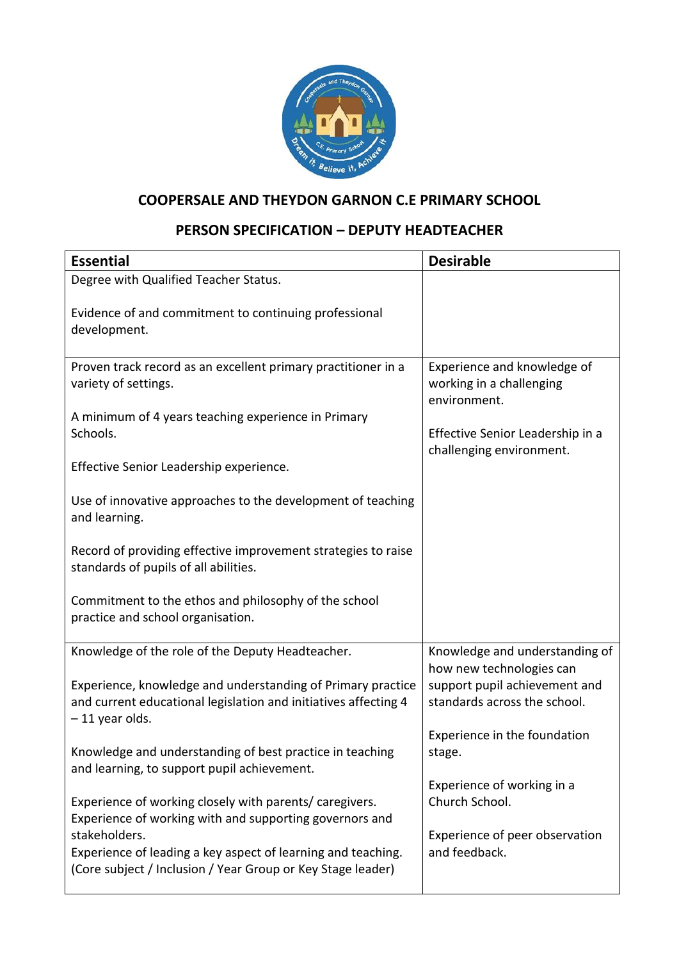

## **COOPERSALE AND THEYDON GARNON C.E PRIMARY SCHOOL**

## **PERSON SPECIFICATION – DEPUTY HEADTEACHER**

| <b>Essential</b>                                                                                                                                   | <b>Desirable</b>                                                        |
|----------------------------------------------------------------------------------------------------------------------------------------------------|-------------------------------------------------------------------------|
| Degree with Qualified Teacher Status.                                                                                                              |                                                                         |
| Evidence of and commitment to continuing professional<br>development.                                                                              |                                                                         |
| Proven track record as an excellent primary practitioner in a<br>variety of settings.                                                              | Experience and knowledge of<br>working in a challenging<br>environment. |
| A minimum of 4 years teaching experience in Primary<br>Schools.                                                                                    | Effective Senior Leadership in a<br>challenging environment.            |
| Effective Senior Leadership experience.                                                                                                            |                                                                         |
| Use of innovative approaches to the development of teaching<br>and learning.                                                                       |                                                                         |
| Record of providing effective improvement strategies to raise<br>standards of pupils of all abilities.                                             |                                                                         |
| Commitment to the ethos and philosophy of the school<br>practice and school organisation.                                                          |                                                                         |
| Knowledge of the role of the Deputy Headteacher.                                                                                                   | Knowledge and understanding of<br>how new technologies can              |
| Experience, knowledge and understanding of Primary practice<br>and current educational legislation and initiatives affecting 4<br>$-11$ year olds. | support pupil achievement and<br>standards across the school.           |
| Knowledge and understanding of best practice in teaching<br>and learning, to support pupil achievement.                                            | Experience in the foundation<br>stage.                                  |
| Experience of working closely with parents/ caregivers.<br>Experience of working with and supporting governors and                                 | Experience of working in a<br>Church School.                            |
| stakeholders.<br>Experience of leading a key aspect of learning and teaching.<br>(Core subject / Inclusion / Year Group or Key Stage leader)       | Experience of peer observation<br>and feedback.                         |